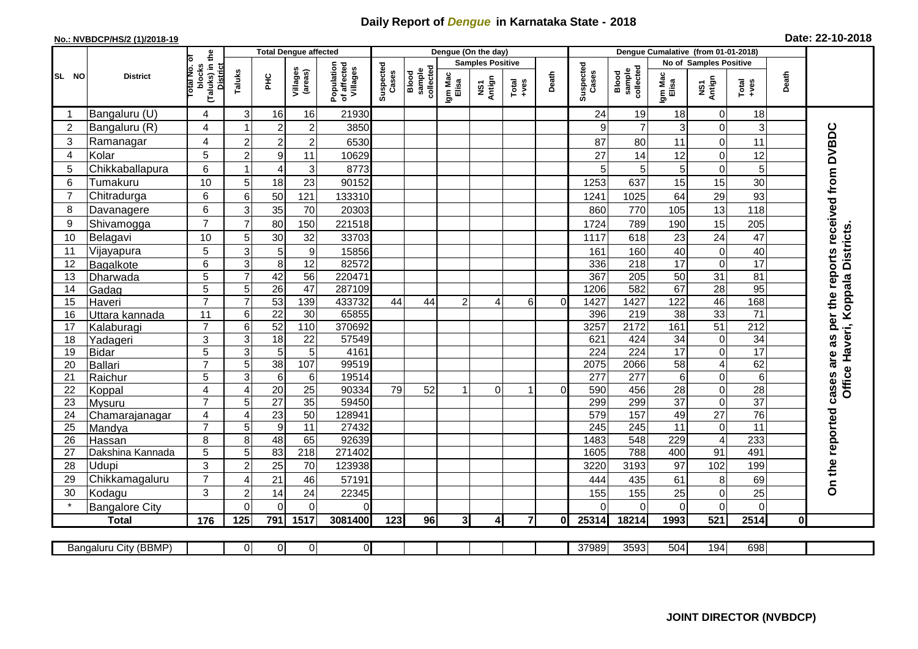## **Daily Report of** *Dengue* **in Karnataka State - 2018**

## **No.: NVBDCP/HS/2 (1)/2018-19 Date: 22-10-2018**

|                       | ,,,,,,,,,,,,,,,,,<br>. <i>.</i><br><b>District</b> |                                                     | <b>Total Dengue affected</b> |                                     |                                                              |                                                    |                  |               |                         | Dengue (On the day) |                    |                              |                  | Denque Cumalative (from 01-01-2018) |                        |                                     |                 |              |                                                  |
|-----------------------|----------------------------------------------------|-----------------------------------------------------|------------------------------|-------------------------------------|--------------------------------------------------------------|----------------------------------------------------|------------------|---------------|-------------------------|---------------------|--------------------|------------------------------|------------------|-------------------------------------|------------------------|-------------------------------------|-----------------|--------------|--------------------------------------------------|
|                       |                                                    |                                                     |                              |                                     |                                                              |                                                    |                  |               | <b>Samples Positive</b> |                     |                    |                              |                  |                                     | No of Samples Positive |                                     |                 |              |                                                  |
| SL NO                 |                                                    | (Taluks) in the<br>District<br>otal No. o<br>blocks | Taluks                       | ÈС                                  | Population<br>of affected<br>Villages<br>Villages<br>(areas) | Suspected<br>sample<br>collected<br>Cases<br>Blood | Igm Mac<br>Elisa | NS1<br>Antign | $Tota$<br>$+ves$        | Death               | Suspected<br>Cases | collected<br>Blood<br>sample | Igm Mac<br>Elisa | NS1<br>Antign                       | $Total$                | Death                               |                 |              |                                                  |
| -1                    | Bangaluru (U)                                      | 4                                                   | 3                            | 16                                  | 16                                                           | 21930                                              |                  |               |                         |                     |                    |                              | 24               | 19                                  | 18                     | 0                                   | 18              |              |                                                  |
| $\overline{2}$        | Bangaluru (R)                                      | 4                                                   |                              | $\overline{2}$                      | $\overline{c}$                                               | 3850                                               |                  |               |                         |                     |                    |                              | 9                | $\overline{7}$                      | 3                      | 0                                   | 3               |              |                                                  |
| 3                     | Ramanagar                                          | 4                                                   | $\overline{2}$               | $\overline{2}$                      | $\overline{c}$                                               | 6530                                               |                  |               |                         |                     |                    |                              | 87               | 80                                  | 11                     | $\mathsf 0$                         | 11              |              | cases are as per the reports received from DVBDC |
| 4                     | Kolar                                              | 5                                                   | $\overline{2}$               | 9                                   | 11                                                           | 10629                                              |                  |               |                         |                     |                    |                              | 27               | 14                                  | 12                     | $\mathbf 0$                         | 12              |              |                                                  |
| 5                     | Chikkaballapura                                    | 6                                                   |                              | $\overline{4}$                      | 3                                                            | 8773                                               |                  |               |                         |                     |                    |                              | 5                | 5                                   | $5\phantom{.0}$        | $\mathbf 0$                         | 5               |              |                                                  |
| 6                     | Tumakuru                                           | 10                                                  | 5                            | 18                                  | 23                                                           | 90152                                              |                  |               |                         |                     |                    |                              | 1253             | 637                                 | 15                     | 15                                  | 30              |              |                                                  |
| $\overline{7}$        | Chitradurga                                        | 6                                                   | 6                            | 50                                  | 121                                                          | 133310                                             |                  |               |                         |                     |                    |                              | 1241             | 1025                                | 64                     | 29                                  | 93              |              |                                                  |
| 8                     | Davanagere                                         | 6                                                   | 3                            | 35                                  | 70                                                           | 20303                                              |                  |               |                         |                     |                    |                              | 860              | 770                                 | 105                    | 13                                  | 118             |              |                                                  |
| 9                     | Shivamogga                                         | $\overline{7}$                                      | $\overline{7}$               | 80                                  | 150                                                          | 221518                                             |                  |               |                         |                     |                    |                              | 1724             | 789                                 | 190                    | 15                                  | 205             |              |                                                  |
| 10                    | Belagavi                                           | 10                                                  | 5                            | 30                                  | 32                                                           | 33703                                              |                  |               |                         |                     |                    |                              | 1117             | 618                                 | 23                     | 24                                  | 47              |              | Office Haveri, Koppala Districts                 |
| 11                    | Vijayapura                                         | 5                                                   | 3                            | 5                                   | $\boldsymbol{9}$                                             | 15856                                              |                  |               |                         |                     |                    |                              | 161              | 160                                 | 40                     | $\boldsymbol{0}$                    | 40              |              |                                                  |
| 12                    | Bagalkote                                          | 6                                                   | 3                            | 8                                   | $\overline{12}$                                              | 82572                                              |                  |               |                         |                     |                    |                              | 336              | $\overline{218}$                    | $\overline{17}$        | $\overline{0}$                      | 17              |              |                                                  |
| 13                    | Dharwada                                           | 5                                                   | 7                            | 42                                  | 56                                                           | 220471                                             |                  |               |                         |                     |                    |                              | 367              | 205                                 | 50                     | 31                                  | $\overline{81}$ |              |                                                  |
| 14                    | Gadag                                              | $\overline{5}$                                      | 5                            | $\overline{26}$                     | 47                                                           | 287109                                             |                  |               |                         |                     |                    |                              | 1206             | 582                                 | 67                     | 28                                  | 95              |              |                                                  |
| 15                    | Haveri                                             | $\overline{7}$                                      | $\overline{7}$               | 53                                  | 139                                                          | 433732                                             | 44               | 44            | 2                       | Δ                   | 6                  | $\Omega$                     | 1427             | 1427                                | 122                    | 46                                  | 168             |              |                                                  |
| 16                    | Uttara kannada                                     | 11                                                  | 6                            | $\overline{22}$                     | $\overline{30}$                                              | 65855                                              |                  |               |                         |                     |                    |                              | 396              | 219                                 | 38                     | 33                                  | $\overline{71}$ |              |                                                  |
| 17                    | Kalaburagi                                         | $\overline{7}$                                      | 6                            | 52                                  | 110                                                          | 370692                                             |                  |               |                         |                     |                    |                              | 3257             | 2172                                | 161                    | 51                                  | 212             |              |                                                  |
| 18                    | Yadageri                                           | 3                                                   | 3                            | 18                                  | 22                                                           | 57549                                              |                  |               |                         |                     |                    |                              | 621              | 424                                 | 34                     | $\pmb{0}$                           | 34              |              |                                                  |
| 19                    | <b>Bidar</b>                                       | 5                                                   | 3                            | $\overline{5}$                      | 5                                                            | 4161                                               |                  |               |                         |                     |                    |                              | 224              | 224                                 | $\overline{17}$        | $\mathsf 0$                         | 17              |              |                                                  |
| 20                    | <b>Ballari</b>                                     | $\overline{7}$                                      | 5                            | $\overline{38}$                     | 107                                                          | 99519                                              |                  |               |                         |                     |                    |                              | 2075             | 2066                                | $\overline{58}$        | $\overline{4}$                      | 62              |              |                                                  |
| 21                    | Raichur                                            | 5                                                   | 3                            | $6\phantom{1}6$                     | $\,6$                                                        | 19514                                              |                  |               |                         |                     |                    |                              | 277              | 277                                 | 6                      | $\boldsymbol{0}$                    | 6               |              |                                                  |
| 22                    | Koppal                                             | 4                                                   | $\overline{A}$               | 20                                  | 25                                                           | 90334                                              | 79               | 52            |                         | $\Omega$            | 1                  | $\Omega$                     | 590              | 456                                 | 28                     | $\boldsymbol{0}$                    | $\overline{28}$ |              |                                                  |
| 23                    | Mysuru                                             | $\overline{7}$                                      | 5                            | $\overline{27}$                     | 35                                                           | 59450                                              |                  |               |                         |                     |                    |                              | 299              | 299                                 | $\overline{37}$        | $\overline{0}$                      | $\overline{37}$ |              |                                                  |
| 24<br>$\overline{25}$ | Chamarajanagar                                     | 4<br>$\overline{7}$                                 | $\overline{A}$<br>5          | $\overline{23}$<br>$\boldsymbol{9}$ | 50<br>11                                                     | 12894 <sup>-</sup><br>27432                        |                  |               |                         |                     |                    |                              | 579<br>245       | 157<br>245                          | 49<br>11               | $\overline{27}$<br>$\boldsymbol{0}$ | 76<br>11        |              |                                                  |
| 26                    | Mandya<br>Hassan                                   | 8                                                   | 8                            | 48                                  | 65                                                           | 92639                                              |                  |               |                         |                     |                    |                              | 1483             | 548                                 | 229                    | $\overline{\mathbf{4}}$             | 233             |              |                                                  |
| 27                    | Dakshina Kannada                                   | 5                                                   | 5                            | 83                                  | $\overline{218}$                                             | 271402                                             |                  |               |                         |                     |                    |                              | 1605             | 788                                 | 400                    | 91                                  | 491             |              |                                                  |
| 28                    | <b>Udupi</b>                                       | 3                                                   | $\overline{2}$               | 25                                  | 70                                                           | 123938                                             |                  |               |                         |                     |                    |                              | 3220             | 3193                                | 97                     | 102                                 | 199             |              |                                                  |
| 29                    | Chikkamagaluru                                     | $\overline{7}$                                      | 4                            | 21                                  | 46                                                           | 57191                                              |                  |               |                         |                     |                    |                              | 444              | 435                                 | 61                     | 8                                   | 69              |              |                                                  |
| 30                    | Kodagu                                             | 3                                                   | $\overline{c}$               | 14                                  | 24                                                           | 22345                                              |                  |               |                         |                     |                    |                              | 155              | 155                                 | 25                     | $\mathbf 0$                         | 25              |              | On the reported                                  |
|                       | <b>Bangalore City</b>                              |                                                     | $\Omega$                     | $\Omega$                            | $\Omega$                                                     | 0                                                  |                  |               |                         |                     |                    |                              | $\Omega$         | 0                                   | $\Omega$               | $\mathbf 0$                         | $\mathbf 0$     |              |                                                  |
|                       | <b>Total</b>                                       | 176                                                 | 125                          | 791                                 | 1517                                                         | 3081400                                            | 123              | 96            | $\overline{3}$          | $\mathbf{4}$        | $\overline{7}$     | <sup>0</sup>                 | 25314            | 18214                               | 1993                   | $\overline{521}$                    | 2514            | $\mathbf{0}$ |                                                  |
|                       |                                                    |                                                     |                              |                                     |                                                              |                                                    |                  |               |                         |                     |                    |                              |                  |                                     |                        |                                     |                 |              |                                                  |
|                       | Bangaluru City (BBMP)                              |                                                     | $\overline{0}$               | $\overline{0}$                      | 0                                                            | $\overline{0}$                                     |                  |               |                         |                     |                    |                              | 37989            | 3593                                | 504                    | 194                                 | 698             |              |                                                  |